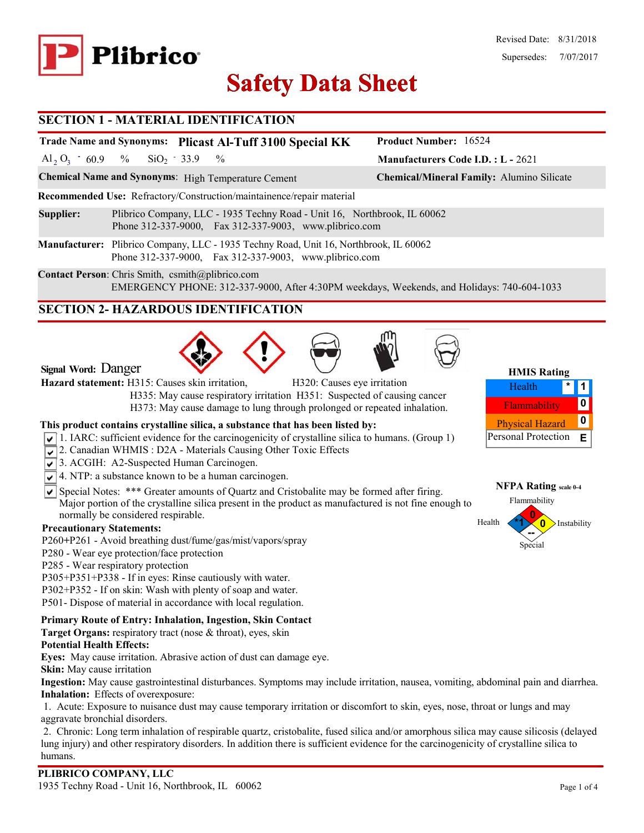

# **Safety Data Sheet Safety Data**

#### **SECTION 1 - MATERIAL IDENTIFICATION**

## **Trade Name and Synonyms: Plicast Al-Tuff 3100 Special KK**

Al<sub>2</sub> O<sub>3</sub>  $-60.9$  % SiO<sub>2</sub>  $-33.9$  %  $SiO<sub>2</sub> - 33.9$ 

**Chemical Name and Synonyms**: High Temperature Cement **Chemical/Mineral Family:** Alumino Silicate

**Recommended Use:** Refractory/Construction/maintainence/repair material

- **Supplier:** Plibrico Company, LLC 1935 Techny Road Unit 16, Northbrook, IL 60062 Phone 312-337-9000, Fax 312-337-9003, www.plibrico.com
- **Manufacturer:** Plibrico Company, LLC 1935 Techny Road, Unit 16, Northbrook, IL 60062 Phone 312-337-9000, Fax 312-337-9003, www.plibrico.com

**Contact Person**: Chris Smith, csmith@plibrico.com EMERGENCY PHONE: 312-337-9000, After 4:30PM weekdays, Weekends, and Holidays: 740-604-1033

### **SECTION 2- HAZARDOUS IDENTIFICATION**





Hazard statement: H315: Causes skin irritation, **H320: Causes eye irritation** 

 H335: May cause respiratory irritation H351: Suspected of causing cancer H373: May cause damage to lung through prolonged or repeated inhalation.

#### **This product contains crystalline silica, a substance that has been listed by:**

- $\sqrt{1}$ . IARC: sufficient evidence for the carcinogenicity of crystalline silica to humans. (Group 1)
- 2. Canadian WHMIS: D2A Materials Causing Other Toxic Effects
- 3. ACGIH: A2-Suspected Human Carcinogen.
- $\sqrt{\sqrt{4}}$ . NTP: a substance known to be a human carcinogen.
- $\overline{\mathsf{S}}$  Special Notes: \*\*\* Greater amounts of Quartz and Cristobalite may be formed after firing. Major portion of the crystalline silica present in the product as manufactured is not fine enough to normally be considered respirable.

#### **Precautionary Statements:**

- P260**+**P261 Avoid breathing dust/fume/gas/mist/vapors/spray
- P280 Wear eye protection/face protection
- P285 Wear respiratory protection
- P305+P351+P338 If in eyes: Rinse cautiously with water.
- P302+P352 If on skin: Wash with plenty of soap and water.
- P501- Dispose of material in accordance with local regulation.

#### **Primary Route of Entry: Inhalation, Ingestion, Skin Contact**

**Target Organs:** respiratory tract (nose & throat), eyes, skin

#### **Potential Health Effects:**

**Eyes:** May cause irritation. Abrasive action of dust can damage eye.

**Skin:** May cause irritation

**Ingestion:** May cause gastrointestinal disturbances. Symptoms may include irritation, nausea, vomiting, abdominal pain and diarrhea. **Inhalation:** Effects of overexposure:

1. Acute: Exposure to nuisance dust may cause temporary irritation or discomfort to skin, eyes, nose, throat or lungs and may aggravate bronchial disorders.

2. Chronic: Long term inhalation of respirable quartz, cristobalite, fused silica and/or amorphous silica may cause silicosis (delayed lung injury) and other respiratory disorders. In addition there is sufficient evidence for the carcinogenicity of crystalline silica to humans.



**Manufacturers Code I.D. : L -** 2621

**Product Number:** 16524



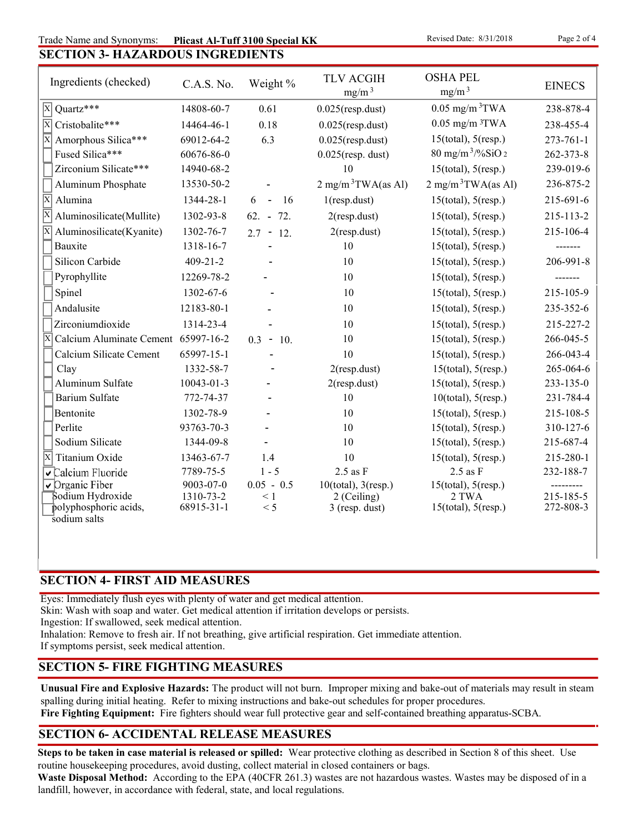**SECTION 3- HAZARDOUS INGREDIENTS** Trade Name and Synonyms: **Plicast Al-Tuff 3100 Special KK** Revised Date: 8/31/2018 Page 2 of 4

Ingredients (checked)  $C.A.S. No.$  Weight %  $TLV ACGIH$   $mg/m<sup>3</sup>$ Weight % TLV ACGIH OSHA PEL<br>mg/m<sup>3</sup> mg/m<sup>3</sup> EINECS Fused Silica\*\*\*  $60676-86-0$   $0.025$   $(resp.$  dust)  $80$  mg/m<sup>3</sup>/%SiO 2  $262-373-8$ Zirconium Silicate\*\*\* 14940-68-2 10 15(total), 5(resp.) 239-019-6 Aluminum Phosphate  $13530-50-2$  -  $2 \text{ mg/m}^3 \text{TWA}\text{(as Al)}$   $2 \text{ mg/m}^3 \text{TWA}\text{(as Al)}$   $236-875-2$ X Alumina 1344-28-1 6 - 16 1(resp.dust) 15(total), 5(resp.) 215-691-6  $\overline{X}$  Aluminosilicate(Mullite) 1302-93-8 62. - 72. 2(resp.dust) 15(total), 5(resp.) 215-113-2  $\overline{X}$  Aluminosilicate(Kyanite) 1302-76-7 2.7 - 12. 2(resp.dust) 15(total), 5(resp.) 215-106-4 Bauxite 1318-16-7 - 10 15(total), 5(resp.) -------Silicon Carbide 409-21-2 - 10 15(total), 5(resp.) 206-991-8 Pyrophyllite 12269-78-2 - 10 15(total), 5(resp.) -------14808-60-7 0.61 0.025(resp.dust) 0.05 mg/m<sup>3</sup>TWA 238-878-4  $\overline{X}$  Cristobalite\*\*\* 14464-46-1 0.18 0.025(resp.dust) 0.05 mg/m <sup>3</sup>TWA 238-455-4  $\overline{X}$  Amorphous Silica\*\*\* 69012-64-2 6.3 0.025(resp.dust) 15(total), 5(resp.) 273-761-1  $\overline{X}$  Quartz\*\*\*

| Pyrophyllite             | 12269-78-2       |                              | 10                        | $15(total)$ , $5(resp.)$  |           |
|--------------------------|------------------|------------------------------|---------------------------|---------------------------|-----------|
| Spinel                   | 1302-67-6        |                              | 10                        | $15$ (total), $5$ (resp.) | 215-105-9 |
| Andalusite               | 12183-80-1       |                              | 10                        | $15$ (total), $5$ (resp.) | 235-352-6 |
| Zirconiumdioxide         | 1314-23-4        |                              | 10                        | $15$ (total), $5$ (resp.) | 215-227-2 |
| Calcium Aluminate Cement | 65997-16-2       | 0.3<br>10.<br>$\blacksquare$ | 10                        | $15$ (total), $5$ (resp.) | 266-045-5 |
| Calcium Silicate Cement  | 65997-15-1       |                              | 10                        | $15$ (total), $5$ (resp.) | 266-043-4 |
| Clay                     | 1332-58-7        |                              | $2$ (resp.dust)           | $15$ (total), $5$ (resp.) | 265-064-6 |
| Aluminum Sulfate         | $10043 - 01 - 3$ |                              | $2$ (resp.dust)           | $15$ (total), $5$ (resp.) | 233-135-0 |
| Barium Sulfate           | 772-74-37        |                              | 10                        | 10(total), 5(resp.)       | 231-784-4 |
| Bentonite                | 1302-78-9        |                              | 10                        | $15$ (total), $5$ (resp.) | 215-108-5 |
| Perlite                  | 93763-70-3       |                              | 10                        | $15$ (total), $5$ (resp.) | 310-127-6 |
| Sodium Silicate          | 1344-09-8        |                              | 10                        | $15$ (total), $5$ (resp.) | 215-687-4 |
| Titanium Oxide           | 13463-67-7       | 1.4                          | 10                        | $15$ (total), $5$ (resp.) | 215-280-1 |
| Calcium Fluoride         | 7789-75-5        | $1 - 5$                      | $2.5$ as F                | $2.5$ as F                | 232-188-7 |
| $\sqrt{}$ Organic Fiber  | $9003 - 07 - 0$  | $0.05 - 0.5$                 | $10$ (total), $3$ (resp.) | $15$ (total), $5$ (resp.) |           |
| Sodium Hydroxide         | 1310-73-2        | $\leq 1$                     | 2 (Ceiling)               | 2 TWA                     | 215-185-5 |
| polyphosphoric acids,    | 68915-31-1       | $\leq 5$                     | $3$ (resp. dust)          | $15$ (total), $5$ (resp.) | 272-808-3 |
| sodium salts             |                  |                              |                           |                           |           |

#### **SECTION 4- FIRST AID MEASURES**

Eyes: Immediately flush eyes with plenty of water and get medical attention.

Skin: Wash with soap and water. Get medical attention if irritation develops or persists.

Ingestion: If swallowed, seek medical attention.

Inhalation: Remove to fresh air. If not breathing, give artificial respiration. Get immediate attention.

If symptoms persist, seek medical attention.

#### **SECTION 5- FIRE FIGHTING MEASURES**

**Unusual Fire and Explosive Hazards:** The product will not burn. Improper mixing and bake-out of materials may result in steam spalling during initial heating. Refer to mixing instructions and bake-out schedules for proper procedures.

**Fire Fighting Equipment:** Fire fighters should wear full protective gear and self-contained breathing apparatus-SCBA.

### **SECTION 6- ACCIDENTAL RELEASE MEASURES**

**Steps to be taken in case material is released or spilled:** Wear protective clothing as described in Section 8 of this sheet. Use routine housekeeping procedures, avoid dusting, collect material in closed containers or bags.

**Waste Disposal Method:** According to the EPA (40CFR 261.3) wastes are not hazardous wastes. Wastes may be disposed of in a landfill, however, in accordance with federal, state, and local regulations.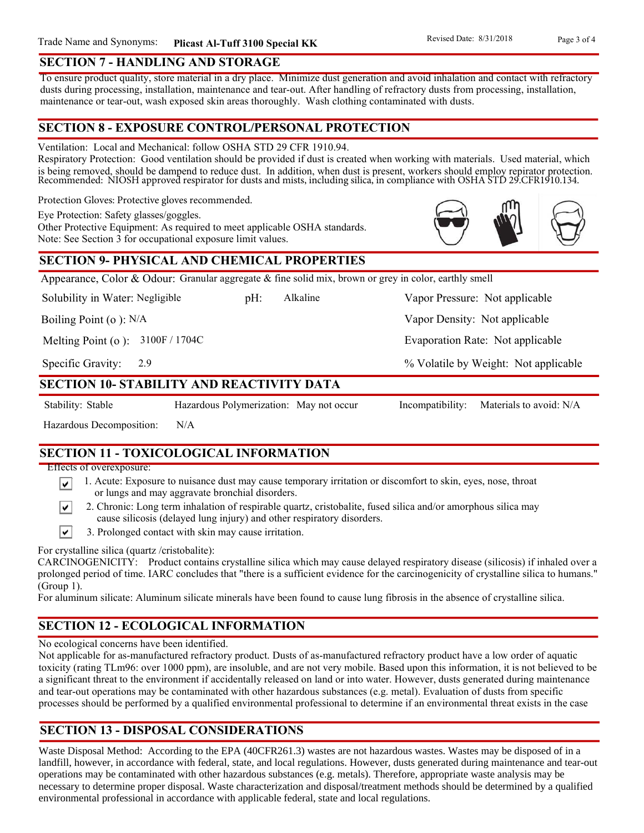#### **SECTION 7 - HANDLING AND STORAGE**

To ensure product quality, store material in a dry place. Minimize dust generation and avoid inhalation and contact with refractory dusts during processing, installation, maintenance and tear-out. After handling of refractory dusts from processing, installation, maintenance or tear-out, wash exposed skin areas thoroughly. Wash clothing contaminated with dusts.

#### **SECTION 8 - EXPOSURE CONTROL/PERSONAL PROTECTION**

Ventilation: Local and Mechanical: follow OSHA STD 29 CFR 1910.94.

Respiratory Protection: Good ventilation should be provided if dust is created when working with materials. Used material, which is being removed, should be dampend to reduce dust. In addition, when dust is present, workers should employ repirator protection. Recommended: NIOSH approved respirator for dusts and mists, including silica, in compliance with OSHA STD 29.CFR1910.134.

Protection Gloves: Protective gloves recommended.

Eye Protection: Safety glasses/goggles.

Other Protective Equipment: As required to meet applicable OSHA standards. Note: See Section 3 for occupational exposure limit values.

#### **SECTION 9- PHYSICAL AND CHEMICAL PROPERTIES**

Appearance, Color & Odour: Granular aggregate & fine solid mix, brown or grey in color, earthly smell

Solubility in Water: Negligible

pH: Alkaline Vapor Pressure: Not applicable Alkaline

Boiling Point (o ): N/A

Melting Point (o ): 3100F / 1704C

2.9 Specific Gravity:

#### **SECTION 10- STABILITY AND REACTIVITY DATA**

∣V∣

Stability: Stable Hazardous Polymerization: May not occur Incompatibility: Materials to avoid: N/A

% Volatile by Weight: Not applicable

Vapor Density: Not applicable

Evaporation Rate: Not applicable

Hazardous Decomposition: N/A

## **SECTION 11 - TOXICOLOGICAL INFORMATION**

Effects of overexposure:

- 1. Acute: Exposure to nuisance dust may cause temporary irritation or discomfort to skin, eyes, nose, throat ∣V∣ or lungs and may aggravate bronchial disorders.
	- 2. Chronic: Long term inhalation of respirable quartz, cristobalite, fused silica and/or amorphous silica may cause silicosis (delayed lung injury) and other respiratory disorders.
- $\vert\mathbf{v}\vert$ 3. Prolonged contact with skin may cause irritation.

For crystalline silica (quartz /cristobalite):

CARCINOGENICITY: Product contains crystalline silica which may cause delayed respiratory disease (silicosis) if inhaled over a prolonged period of time. IARC concludes that "there is a sufficient evidence for the carcinogenicity of crystalline silica to humans." (Group 1).

For aluminum silicate: Aluminum silicate minerals have been found to cause lung fibrosis in the absence of crystalline silica.

# **SECTION 12 - ECOLOGICAL INFORMATION**

No ecological concerns have been identified.

Not applicable for as-manufactured refractory product. Dusts of as-manufactured refractory product have a low order of aquatic toxicity (rating TLm96: over 1000 ppm), are insoluble, and are not very mobile. Based upon this information, it is not believed to be a significant threat to the environment if accidentally released on land or into water. However, dusts generated during maintenance and tear-out operations may be contaminated with other hazardous substances (e.g. metal). Evaluation of dusts from specific processes should be performed by a qualified environmental professional to determine if an environmental threat exists in the case

### **SECTION 13 - DISPOSAL CONSIDERATIONS**

Waste Disposal Method: According to the EPA (40CFR261.3) wastes are not hazardous wastes. Wastes may be disposed of in a landfill, however, in accordance with federal, state, and local regulations. However, dusts generated during maintenance and tear-out operations may be contaminated with other hazardous substances (e.g. metals). Therefore, appropriate waste analysis may be necessary to determine proper disposal. Waste characterization and disposal/treatment methods should be determined by a qualified environmental professional in accordance with applicable federal, state and local regulations.